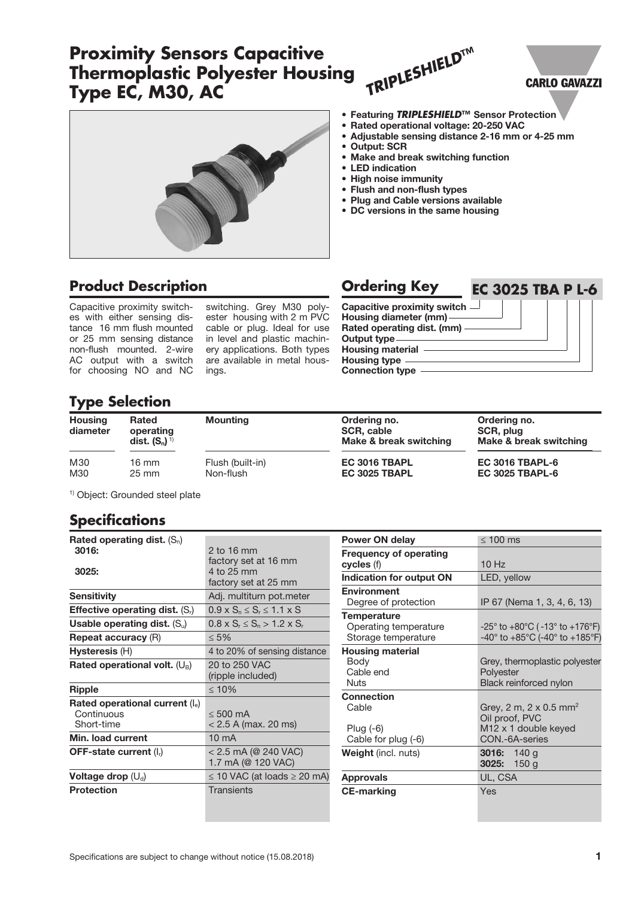### Connection type **Type Selection** for choosing NO and NC ings.

| <b>Type Selection</b>      |                                         |                               |                                                             |                                                  |  |
|----------------------------|-----------------------------------------|-------------------------------|-------------------------------------------------------------|--------------------------------------------------|--|
| <b>Housing</b><br>diameter | Rated<br>operating<br>dist. $(S_n)^{1}$ | <b>Mounting</b>               | Ordering no.<br><b>SCR, cable</b><br>Make & break switching | Ordering no.<br>SCR, plug<br>Make & break swi    |  |
| M30<br>M30                 | $16 \text{ mm}$<br>$25 \text{ mm}$      | Flush (built-in)<br>Non-flush | EC 3016 TBAPL<br>EC 3025 TBAPL                              | <b>EC 3016 TBAPL-6</b><br><b>EC 3025 TBAPL-6</b> |  |

**Product Description Description Ordering Key** 

switching. Grey M30 polyester housing with 2 m PVC cable or plug. Ideal for use in level and plastic machinery applications. Both types are available in metal hous-

Make & break switching

**EC 3025 TBA P L-6**

**EC 3025 TBAPL-6** 

1) Object: Grounded steel plate

Capacitive proximity switches with either sensing distance 16 mm flush mounted or 25 mm sensing distance non-flush mounted. 2-wire AC output with a switch

### **Specifications**

| Rated operating dist. $(S_n)$            |                                             |
|------------------------------------------|---------------------------------------------|
| 3016:                                    | 2 to 16 mm                                  |
|                                          | factory set at 16 mm                        |
| 3025:                                    | 4 to 25 mm<br>factory set at 25 mm          |
|                                          |                                             |
| <b>Sensitivity</b>                       | Adj. multiturn pot.meter                    |
| <b>Effective operating dist.</b> $(S_i)$ | $0.9 \times S_n \leq S_r \leq 1.1 \times S$ |
| Usable operating dist. $(S_u)$           | $0.8 \times S_r \leq S_n > 1.2 \times S_r$  |
| <b>Repeat accuracy (R)</b>               | < 5%                                        |
| Hysteresis (H)                           | 4 to 20% of sensing distance                |
| Rated operational volt. $(U_B)$          | 20 to 250 VAC                               |
|                                          | (ripple included)                           |
| <b>Ripple</b>                            | $\leq 10\%$                                 |
| Rated operational current $(I_e)$        |                                             |
| Continuous                               | $< 500 \text{ mA}$                          |
| Short-time                               | $< 2.5$ A (max. 20 ms)                      |
| Min. load current                        | $10 \text{ mA}$                             |
| <b>OFF-state current (I<sub>r</sub>)</b> | < 2.5 mA (@ 240 VAC)                        |
|                                          | 1.7 mA (@ 120 VAC)                          |
| Voltage drop $(U_d)$                     | $\leq$ 10 VAC (at loads $\geq$ 20 mA)       |
| <b>Protection</b>                        | Transients                                  |
|                                          |                                             |

| <b>Power ON delay</b>                                              | $\leq 100$ ms                                                                                              |
|--------------------------------------------------------------------|------------------------------------------------------------------------------------------------------------|
| <b>Frequency of operating</b><br>cycles (f)                        | $10$ Hz                                                                                                    |
| <b>Indication for output ON</b>                                    | LED, yellow                                                                                                |
| <b>Environment</b>                                                 |                                                                                                            |
| Degree of protection                                               | IP 67 (Nema 1, 3, 4, 6, 13)                                                                                |
| <b>Temperature</b><br>Operating temperature<br>Storage temperature | -25° to +80°C (-13° to +176°F)<br>$-40^{\circ}$ to $+85^{\circ}$ C (-40° to $+185^{\circ}$ F)              |
| <b>Housing material</b><br>Body<br>Cable end<br>Nuts               | Grey, thermoplastic polyester<br>Polyester<br>Black reinforced nylon                                       |
| <b>Connection</b>                                                  |                                                                                                            |
| Cable<br>Plug $(-6)$<br>Cable for plug (-6)                        | Grey, 2 m, 2 x 0.5 mm <sup>2</sup><br>Oil proof, PVC<br>M <sub>12</sub> x 1 double keyed<br>CON.-6A-series |
| <b>Weight</b> (incl. nuts)                                         | <b>3016:</b> 140 g<br>3025: $150 g$                                                                        |
| <b>Approvals</b>                                                   | UL, CSA                                                                                                    |
| <b>CE-marking</b>                                                  | Yes                                                                                                        |

• Featuring *TRIPLESHIELD***™** Sensor Protection

- Rated operational voltage: 20-250 VAC
- Adjustable sensing distance 2-16 mm or 4-25 mm
- Output: SCR
- Make and break switching function

*TRIPLESHIELD***™**

- LED indication
- High noise immunity
- Flush and non-flush types

Capacitive proximity switch Housing diameter (mm) Rated operating dist. (mm)

Output type Housing material **Housing type** 

- Plug and Cable versions available
- DC versions in the same housing



**Proximity Sensors Capacitive**

**Thermoplastic Polyester Housing**

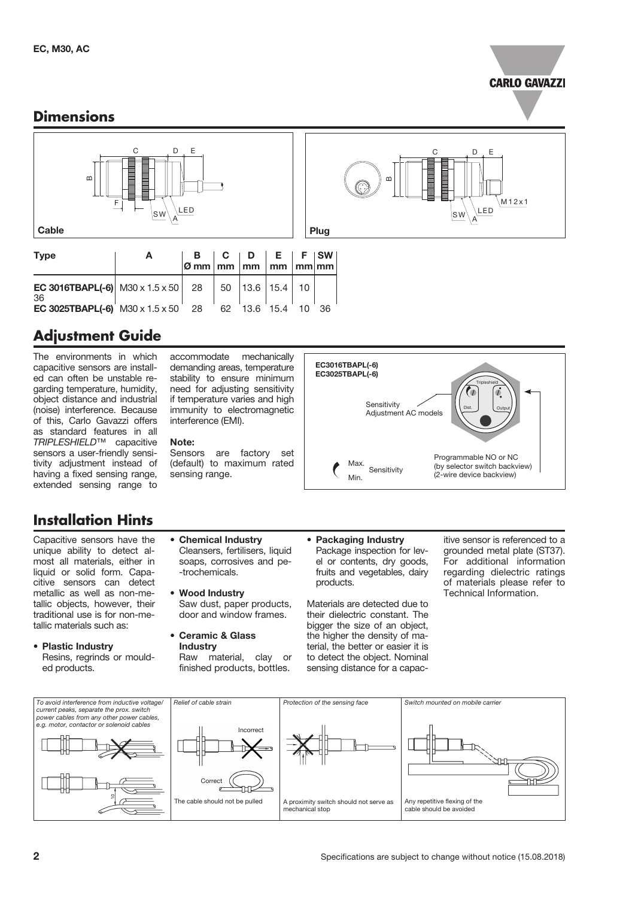#### **CARLO GAVAZZI**

#### **Dimensions**



## **Adjustment Guide**

The environments in which capacitive sensors are installed can often be unstable regarding temperature, humidity, object distance and industrial (noise) interference. Because of this, Carlo Gavazzi offers as standard features in all *TRIPLESHIELD*™ capacitive sensors a user-friendly sensitivity adjustment instead of having a fixed sensing range, extended sensing range to

#### **Installation Hints**

Capacitive sensors have the unique ability to detect almost all materials, either in liquid or solid form. Capacitive sensors can detect metallic as well as non-metallic objects, however, their traditional use is for non-metallic materials such as:

• Plastic Industry Resins, regrinds or moulded products.

accommodate mechanically demanding areas, temperature stability to ensure minimum need for adjusting sensitivity if temperature varies and high immunity to electromagnetic interference (EMI).

#### Note:

Sensors are factory set (default) to maximum rated sensing range.

Cleansers, fertilisers, liquid soaps, corrosives and pe-

Saw dust, paper products, door and window frames.

Raw material, clay or finished products, bottles.

• Chemical Industry

-trochemicals. • Wood Industry

• Ceramic & Glass Industry



C D

 $\mathsf{SW}\backslash\mathsf{A}$ 

LED

E

M12x1

m

• Packaging Industry Package inspection for level or contents, dry goods, fruits and vegetables, dairy products.

Materials are detected due to their dielectric constant. The bigger the size of an object, the higher the density of material, the better or easier it is to detect the object. Nominal sensing distance for a capacitive sensor is referenced to a grounded metal plate (ST37). For additional information regarding dielectric ratings of materials please refer to Technical Information.